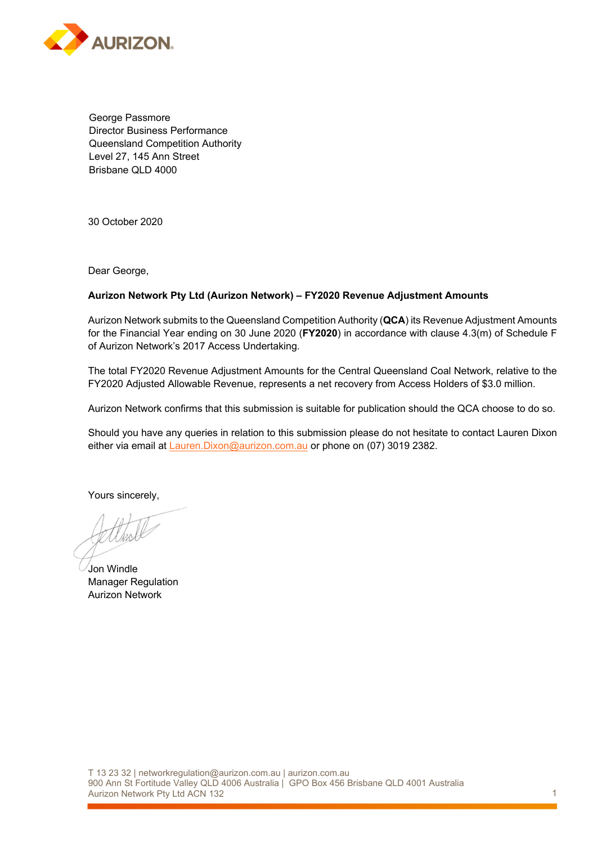

George Passmore Director Business Performance Queensland Competition Authority Level 27, 145 Ann Street Brisbane QLD 4000

30 October 2020

Dear George,

### **Aurizon Network Pty Ltd (Aurizon Network) – FY2020 Revenue Adjustment Amounts**

Aurizon Network submits to the Queensland Competition Authority (**QCA**) its Revenue Adjustment Amounts for the Financial Year ending on 30 June 2020 (**FY2020**) in accordance with clause 4.3(m) of Schedule F of Aurizon Network's 2017 Access Undertaking.

The total FY2020 Revenue Adjustment Amounts for the Central Queensland Coal Network, relative to the FY2020 Adjusted Allowable Revenue, represents a net recovery from Access Holders of \$3.0 million.

Aurizon Network confirms that this submission is suitable for publication should the QCA choose to do so.

Should you have any queries in relation to this submission please do not hesitate to contact Lauren Dixon either via email at Lauren. Dixon@aurizon.com.au or phone on (07) 3019 2382.

Yours sincerely,

Į

Jon Windle Manager Regulation Aurizon Network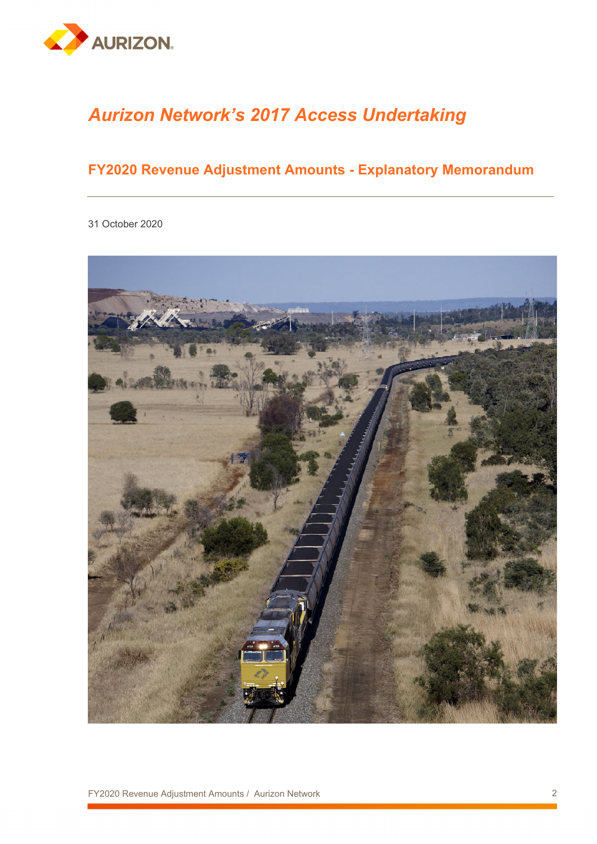

# *Aurizon Network's 2017 Access Undertaking*

# **FY2020 Revenue Adjustment Amounts - Explanatory Memorandum**

31 October 2020

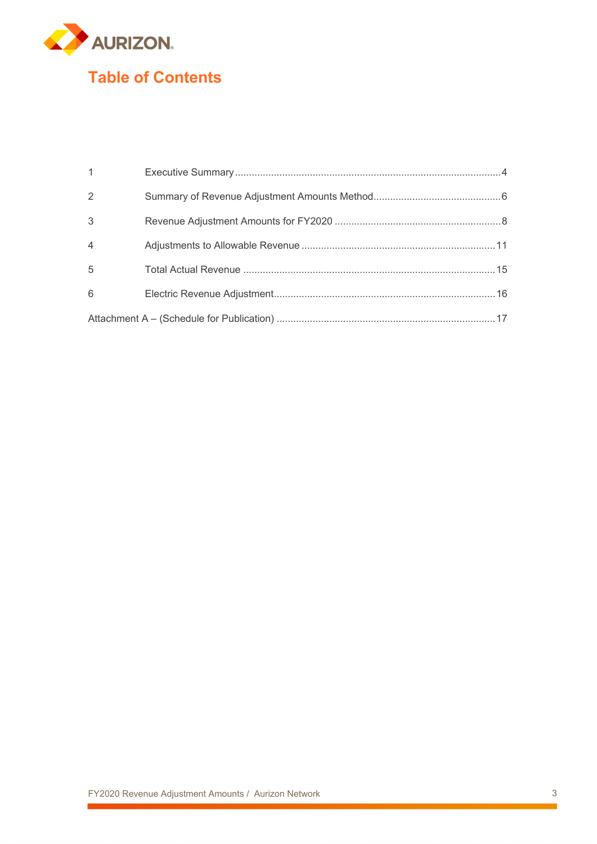

| $\overline{1}$ |  |
|----------------|--|
| 2              |  |
| 3              |  |
| $\overline{4}$ |  |
| $\overline{5}$ |  |
| 6              |  |
|                |  |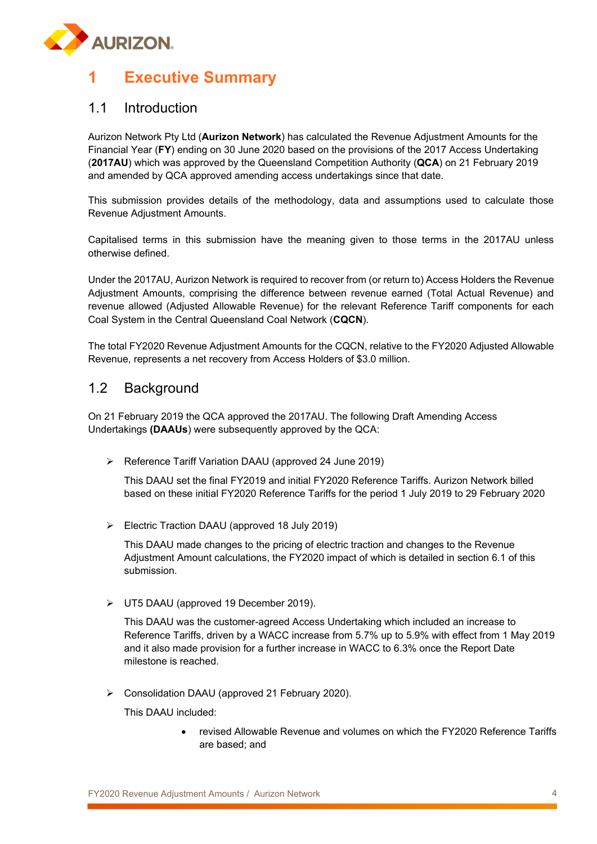

# **1 Executive Summary**

### 1.1 Introduction

Aurizon Network Pty Ltd (**Aurizon Network**) has calculated the Revenue Adjustment Amounts for the Financial Year (**FY**) ending on 30 June 2020 based on the provisions of the 2017 Access Undertaking (**2017AU**) which was approved by the Queensland Competition Authority (**QCA**) on 21 February 2019 and amended by QCA approved amending access undertakings since that date.

This submission provides details of the methodology, data and assumptions used to calculate those Revenue Adjustment Amounts.

Capitalised terms in this submission have the meaning given to those terms in the 2017AU unless otherwise defined.

Under the 2017AU, Aurizon Network is required to recover from (or return to) Access Holders the Revenue Adjustment Amounts, comprising the difference between revenue earned (Total Actual Revenue) and revenue allowed (Adjusted Allowable Revenue) for the relevant Reference Tariff components for each Coal System in the Central Queensland Coal Network (**CQCN**).

The total FY2020 Revenue Adjustment Amounts for the CQCN, relative to the FY2020 Adjusted Allowable Revenue, represents a net recovery from Access Holders of \$3.0 million.

### 1.2 Background

On 21 February 2019 the QCA approved the 2017AU. The following Draft Amending Access Undertakings **(DAAUs**) were subsequently approved by the QCA:

Reference Tariff Variation DAAU (approved 24 June 2019)

This DAAU set the final FY2019 and initial FY2020 Reference Tariffs. Aurizon Network billed based on these initial FY2020 Reference Tariffs for the period 1 July 2019 to 29 February 2020

Electric Traction DAAU (approved 18 July 2019)

This DAAU made changes to the pricing of electric traction and changes to the Revenue Adjustment Amount calculations, the FY2020 impact of which is detailed in section 6.1 of this submission.

UT5 DAAU (approved 19 December 2019).

This DAAU was the customer-agreed Access Undertaking which included an increase to Reference Tariffs, driven by a WACC increase from 5.7% up to 5.9% with effect from 1 May 2019 and it also made provision for a further increase in WACC to 6.3% once the Report Date milestone is reached.

Consolidation DAAU (approved 21 February 2020).

This DAAU included:

 revised Allowable Revenue and volumes on which the FY2020 Reference Tariffs are based; and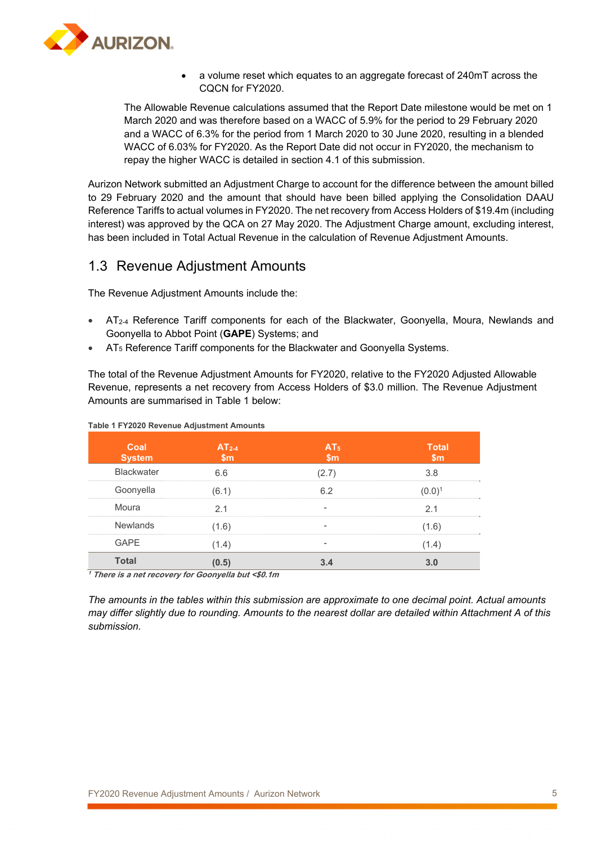

 a volume reset which equates to an aggregate forecast of 240mT across the CQCN for FY2020.

The Allowable Revenue calculations assumed that the Report Date milestone would be met on 1 March 2020 and was therefore based on a WACC of 5.9% for the period to 29 February 2020 and a WACC of 6.3% for the period from 1 March 2020 to 30 June 2020, resulting in a blended WACC of 6.03% for FY2020. As the Report Date did not occur in FY2020, the mechanism to repay the higher WACC is detailed in section 4.1 of this submission.

Aurizon Network submitted an Adjustment Charge to account for the difference between the amount billed to 29 February 2020 and the amount that should have been billed applying the Consolidation DAAU Reference Tariffs to actual volumes in FY2020. The net recovery from Access Holders of \$19.4m (including interest) was approved by the QCA on 27 May 2020. The Adjustment Charge amount, excluding interest, has been included in Total Actual Revenue in the calculation of Revenue Adjustment Amounts.

### 1.3 Revenue Adjustment Amounts

The Revenue Adjustment Amounts include the:

- AT<sub>2-4</sub> Reference Tariff components for each of the Blackwater, Goonyella, Moura, Newlands and Goonyella to Abbot Point (**GAPE**) Systems; and
- AT5 Reference Tariff components for the Blackwater and Goonyella Systems.

The total of the Revenue Adjustment Amounts for FY2020, relative to the FY2020 Adjusted Allowable Revenue, represents a net recovery from Access Holders of \$3.0 million. The Revenue Adjustment Amounts are summarised in Table 1 below:

| Coal<br><b>System</b> | $AT2-4$<br>$\mathsf{sm}$ | AT <sub>5</sub><br>$\mathsf{Sm}$ | <b>Total</b><br>$\mathsf{Sm}$ |
|-----------------------|--------------------------|----------------------------------|-------------------------------|
| <b>Blackwater</b>     | 6.6                      | 77)                              | 3.8                           |
| Goonyella             | (6.1)                    | 6.2                              |                               |
| Moura                 | 2.1                      |                                  | 2.1                           |
| <b>Newlands</b>       | (1.6)                    |                                  | (1.6)                         |
| <b>GAPE</b>           | (1.4)                    |                                  | (1.4)                         |
| <b>Total</b>          | (0.5)                    |                                  |                               |

#### **Table 1 FY2020 Revenue Adjustment Amounts**

**<sup>1</sup> There is a net recovery for Goonyella but <\$0.1m** 

*The amounts in the tables within this submission are approximate to one decimal point. Actual amounts may differ slightly due to rounding. Amounts to the nearest dollar are detailed within Attachment A of this submission.*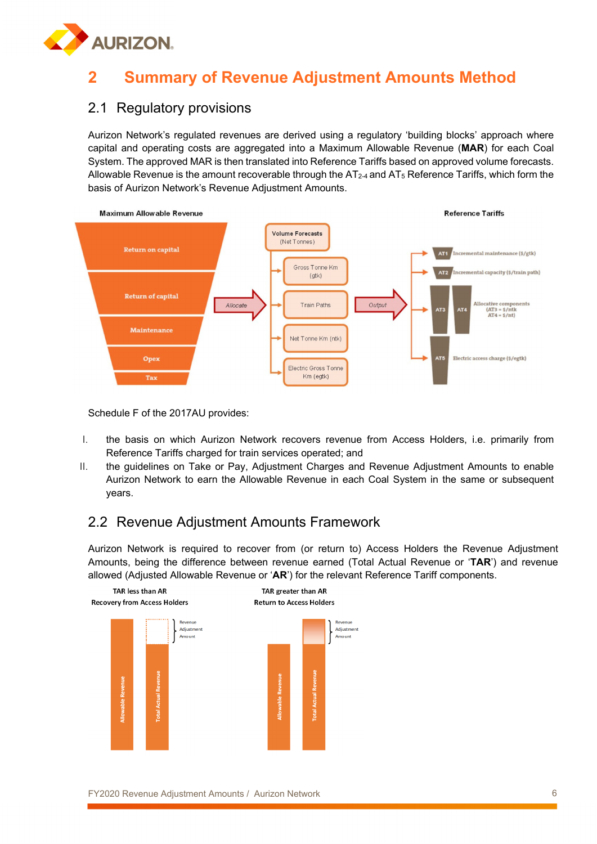

# **2 Summary of Revenue Adjustment Amounts Method**

## 2.1 Regulatory provisions

Aurizon Network's regulated revenues are derived using a regulatory 'building blocks' approach where capital and operating costs are aggregated into a Maximum Allowable Revenue (**MAR**) for each Coal System. The approved MAR is then translated into Reference Tariffs based on approved volume forecasts. Allowable Revenue is the amount recoverable through the  $AT<sub>2-4</sub>$  and  $AT<sub>5</sub>$  Reference Tariffs, which form the basis of Aurizon Network's Revenue Adjustment Amounts.



Schedule F of the 2017AU provides:

- I. the basis on which Aurizon Network recovers revenue from Access Holders, i.e. primarily from Reference Tariffs charged for train services operated; and
- II. the guidelines on Take or Pay, Adjustment Charges and Revenue Adjustment Amounts to enable Aurizon Network to earn the Allowable Revenue in each Coal System in the same or subsequent years.

# 2.2 Revenue Adjustment Amounts Framework

Aurizon Network is required to recover from (or return to) Access Holders the Revenue Adjustment Amounts, being the difference between revenue earned (Total Actual Revenue or '**TAR**') and revenue allowed (Adjusted Allowable Revenue or '**AR**') for the relevant Reference Tariff components.

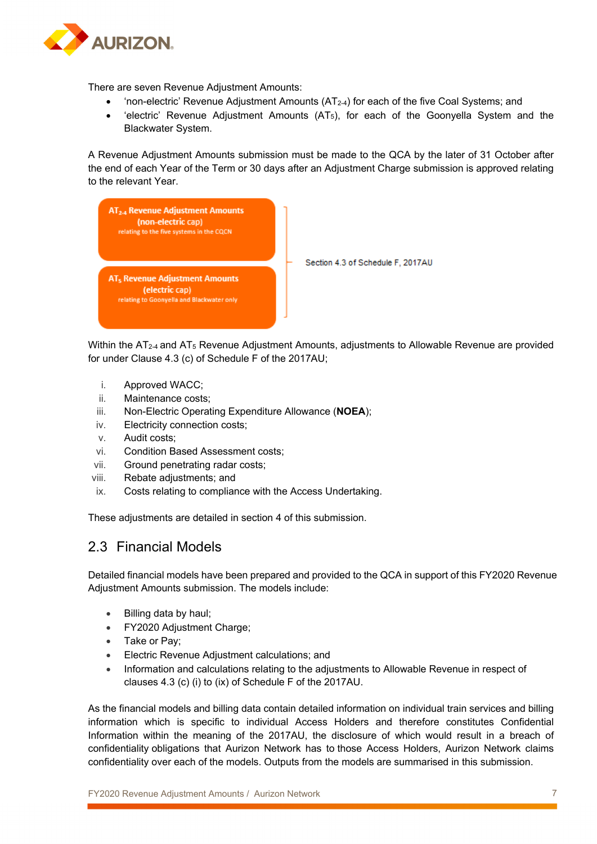

There are seven Revenue Adjustment Amounts:

- 'non-electric' Revenue Adjustment Amounts (AT2-4) for each of the five Coal Systems; and
- $\bullet$  'electric' Revenue Adjustment Amounts (AT<sub>5</sub>), for each of the Goonyella System and the Blackwater System.

A Revenue Adjustment Amounts submission must be made to the QCA by the later of 31 October after the end of each Year of the Term or 30 days after an Adjustment Charge submission is approved relating to the relevant Year.



Within the AT<sub>2-4</sub> and AT<sub>5</sub> Revenue Adjustment Amounts, adjustments to Allowable Revenue are provided for under Clause 4.3 (c) of Schedule F of the 2017AU;

- i. Approved WACC;
- ii. Maintenance costs;
- iii. Non-Electric Operating Expenditure Allowance (**NOEA**);
- iv. Electricity connection costs;
- v. Audit costs;
- vi. Condition Based Assessment costs;
- vii. Ground penetrating radar costs;
- viii. Rebate adjustments; and
- ix. Costs relating to compliance with the Access Undertaking.

These adjustments are detailed in section 4 of this submission.

### 2.3 Financial Models

Detailed financial models have been prepared and provided to the QCA in support of this FY2020 Revenue Adjustment Amounts submission. The models include:

- Billing data by haul;
- FY2020 Adiustment Charge:
- Take or Pay;
- Electric Revenue Adjustment calculations; and
- Information and calculations relating to the adjustments to Allowable Revenue in respect of clauses 4.3 (c) (i) to (ix) of Schedule F of the 2017AU.

As the financial models and billing data contain detailed information on individual train services and billing information which is specific to individual Access Holders and therefore constitutes Confidential Information within the meaning of the 2017AU, the disclosure of which would result in a breach of confidentiality obligations that Aurizon Network has to those Access Holders, Aurizon Network claims confidentiality over each of the models. Outputs from the models are summarised in this submission.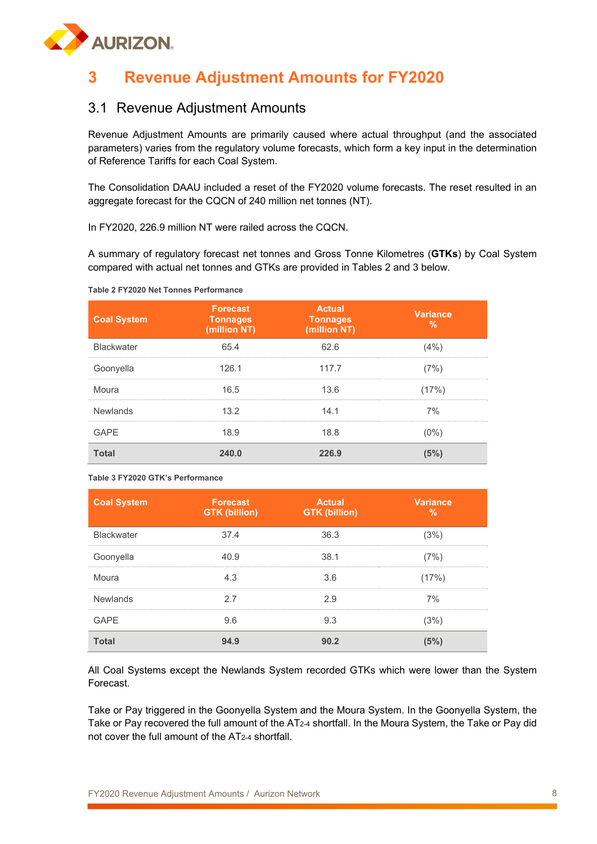

# **3 Revenue Adjustment Amounts for FY2020**

## 3.1 Revenue Adjustment Amounts

Revenue Adjustment Amounts are primarily caused where actual throughput (and the associated parameters) varies from the regulatory volume forecasts, which form a key input in the determination of Reference Tariffs for each Coal System.

The Consolidation DAAU included a reset of the FY2020 volume forecasts. The reset resulted in an aggregate forecast for the CQCN of 240 million net tonnes (NT).

In FY2020, 226.9 million NT were railed across the CQCN.

A summary of regulatory forecast net tonnes and Gross Tonne Kilometres (**GTKs**) by Coal System compared with actual net tonnes and GTKs are provided in Tables 2 and 3 below.

#### **Table 2 FY2020 Net Tonnes Performance**

| <b>Coal System</b> | <b>Forecast</b><br><b>Tonnages</b><br>(million NT) | <b>Actual</b><br><b>Tonnages</b><br>(million NT) | <b>Variance</b><br>% |
|--------------------|----------------------------------------------------|--------------------------------------------------|----------------------|
| <b>Blackwater</b>  | 65.4                                               | 62.6                                             | (4% )                |
| Goonyella          | 126.1                                              | 117.7                                            | (7%)                 |
| Moura              | 16.5                                               | 13.6                                             | (17%)                |
| Newlands           | 13.2                                               | 14.1                                             | 7%                   |
| GAPF               | 18.9                                               | 18.8                                             | $(0\%)$              |
| <b>Total</b>       | 240.0                                              | 226.9                                            | (5%)                 |

#### **Table 3 FY2020 GTK's Performance**

| <b>Coal System</b> | <b>Forecast</b><br><b>GTK (billion)</b> | <b>Actual</b><br><b>GTK (billion)</b> | <b>Variance</b><br>% |
|--------------------|-----------------------------------------|---------------------------------------|----------------------|
| <b>Blackwater</b>  | 37.4                                    | 36.3                                  | (3%)                 |
| Goonyella          | 40.9                                    | 38.1                                  | (7%)                 |
| Moura              | 4.3                                     | 3.6                                   | (17%)                |
| <b>Newlands</b>    | 2.7                                     | 2.9                                   | 7%                   |
| <b>GAPE</b>        | 9.6                                     | 9.3                                   | (3%)                 |
| <b>Total</b>       | 94.9                                    | 90.2                                  | 15%                  |

All Coal Systems except the Newlands System recorded GTKs which were lower than the System Forecast.

Take or Pay triggered in the Goonyella System and the Moura System. In the Goonyella System, the Take or Pay recovered the full amount of the AT2-4 shortfall. In the Moura System, the Take or Pay did not cover the full amount of the AT2-4 shortfall.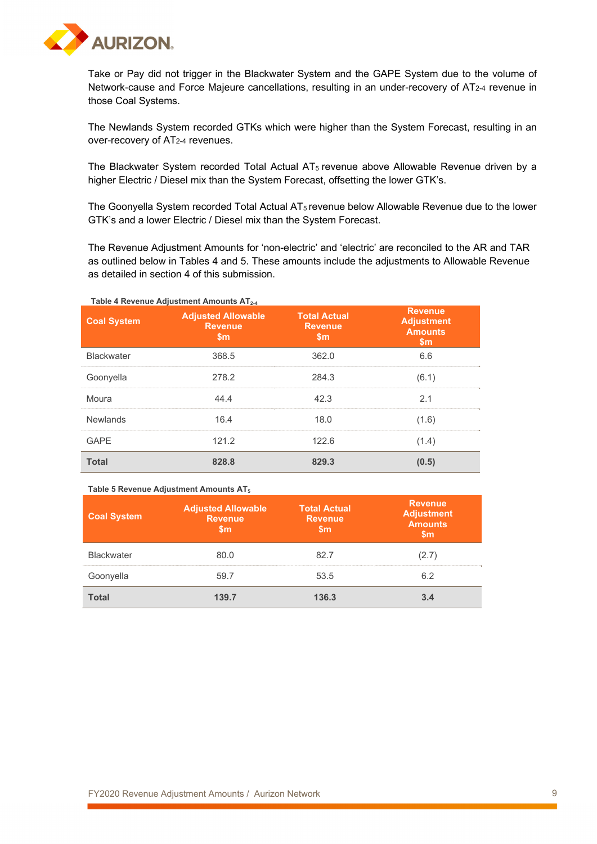

Take or Pay did not trigger in the Blackwater System and the GAPE System due to the volume of Network-cause and Force Majeure cancellations, resulting in an under-recovery of AT2-4 revenue in those Coal Systems.

The Newlands System recorded GTKs which were higher than the System Forecast, resulting in an over-recovery of AT2-4 revenues.

The Blackwater System recorded Total Actual  $AT_5$  revenue above Allowable Revenue driven by a higher Electric / Diesel mix than the System Forecast, offsetting the lower GTK's.

The Goonyella System recorded Total Actual AT5 revenue below Allowable Revenue due to the lower GTK's and a lower Electric / Diesel mix than the System Forecast.

The Revenue Adjustment Amounts for 'non-electric' and 'electric' are reconciled to the AR and TAR as outlined below in Tables 4 and 5. These amounts include the adjustments to Allowable Revenue as detailed in section 4 of this submission.

| <b>Coal System</b> | <b>Adjusted Allowable</b><br><b>Revenue</b><br><b>Sm</b> | <b>Total Actual</b><br><b>Revenue</b><br><b>Sm</b> | <b>Revenue</b><br><b>Adjustment</b><br><b>Amounts</b><br><b>Sm</b> |
|--------------------|----------------------------------------------------------|----------------------------------------------------|--------------------------------------------------------------------|
| <b>Blackwater</b>  | 368.5                                                    | 362.0                                              | 6.6                                                                |
| Goonyella          | 278.2                                                    | 284.3                                              | (6.1)                                                              |
| Moura              | 44.4                                                     | 42.3                                               | 2.1                                                                |
| Newlands           | 16.4                                                     | 18.0                                               | (1.6)                                                              |
| GAPF               | 121.2                                                    | 122.6                                              | (1.4)                                                              |
| <b>Total</b>       | 828.8                                                    | 829.3                                              | (0.5)                                                              |

#### **Table 5 Revenue Adjustment Amounts AT5**

| <b>Coal System</b> | <b>Adjusted Allowable</b><br><b>Revenue</b><br>Sm | <b>Total Actual</b><br><b>Revenue</b><br>5m | <b>Revenue</b><br><b>Adjustment</b><br><b>Amounts</b> |
|--------------------|---------------------------------------------------|---------------------------------------------|-------------------------------------------------------|
| <b>Blackwater</b>  | 80.0                                              | 82 7                                        | (2.7)                                                 |
| Goonyella          | 59.7                                              | 53.5                                        | 6.2                                                   |
| <b>Total</b>       | 139.7                                             | 136.3                                       |                                                       |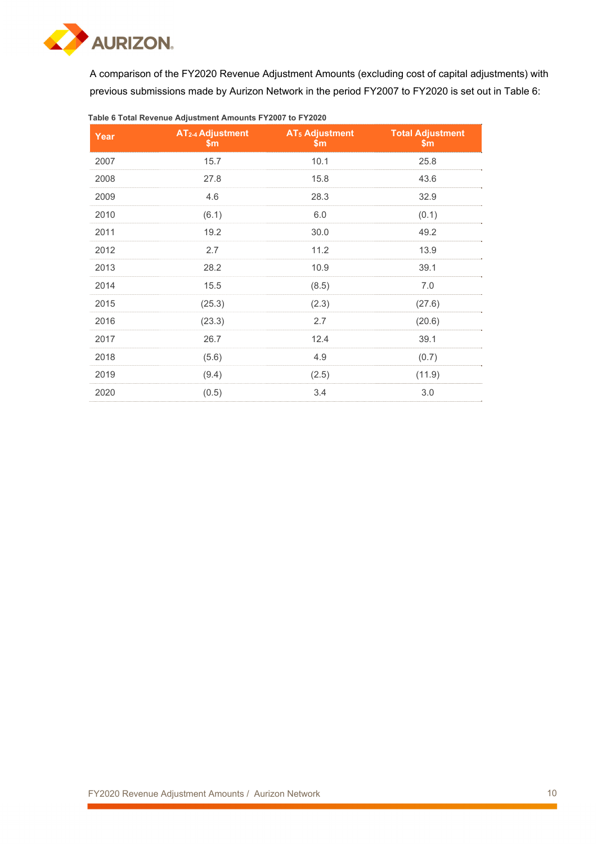

A comparison of the FY2020 Revenue Adjustment Amounts (excluding cost of capital adjustments) with previous submissions made by Aurizon Network in the period FY2007 to FY2020 is set out in Table 6:

| Year | AT <sub>2-4</sub> Adjustment<br>\$m | <b>AT<sub>5</sub> Adjustment</b><br>\$m | <b>Total Adjustment</b><br>$\mathsf{Sm}$ |
|------|-------------------------------------|-----------------------------------------|------------------------------------------|
| 2007 | 15.7                                | 10.1                                    | 25.8                                     |
| 2008 | 27.8                                | 15.8                                    | 43.6                                     |
| 2009 | 4.6                                 | 28.3                                    | 32.9                                     |
| 2010 | (6.1)                               | 6.0                                     | (0.1)                                    |
| 2011 | 19.2                                | 30.0                                    | 49.2                                     |
| 2012 | 2.7                                 | 11.2                                    | 13.9                                     |
| 2013 | 28.2                                | 10.9                                    | 39.1                                     |
| 2014 | 15.5                                | (8.5)                                   | 7.0                                      |
| 2015 | (25.3)                              | (2.3)                                   | (27.6)                                   |
| 2016 | (23.3)                              | 2.7                                     | (20.6)                                   |
| 2017 | 26.7                                | 12.4                                    | 39.1                                     |
| 2018 | (5.6)                               | 4.9                                     | (0.7)                                    |
| 2019 | (9.4)                               | (2.5)                                   | (11.9)                                   |
| 2020 | (0.5)                               | 3.4                                     | 3.0                                      |

#### **Table 6 Total Revenue Adjustment Amounts FY2007 to FY2020**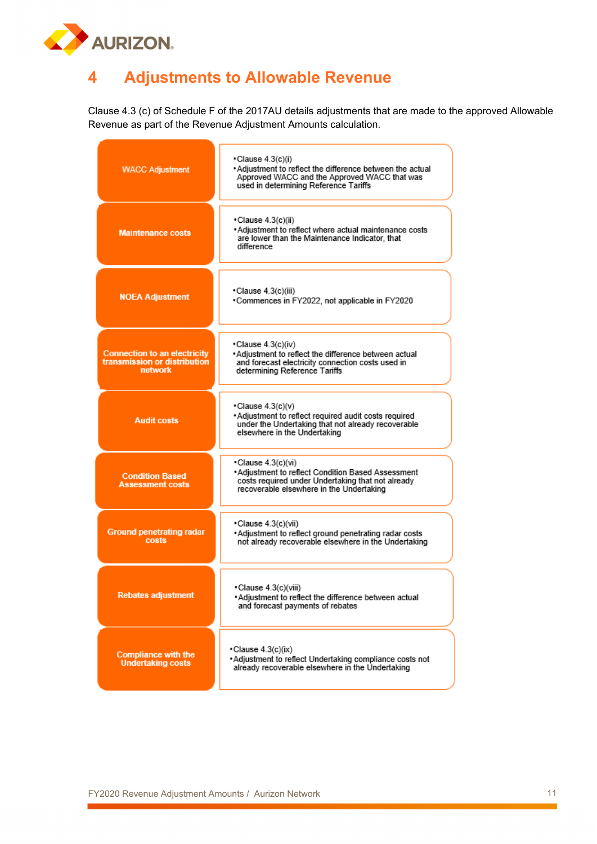

# **4 Adjustments to Allowable Revenue**

Clause 4.3 (c) of Schedule F of the 2017AU details adjustments that are made to the approved Allowable Revenue as part of the Revenue Adjustment Amounts calculation.

| <b>WACC Adjustment</b>                                                                | •Clause 4.3(c)(i)<br>• Adjustment to reflect the difference between the actual<br>Approved WACC and the Approved WACC that was<br>used in determining Reference Tariffs  |  |  |  |  |
|---------------------------------------------------------------------------------------|--------------------------------------------------------------------------------------------------------------------------------------------------------------------------|--|--|--|--|
| <b>Maintenance costs</b>                                                              | ∙Clause 4.3(c)(ii)<br>Adjustment to reflect where actual maintenance costs<br>are lower than the Maintenance Indicator, that<br>difference                               |  |  |  |  |
| <b>NOEA Adjustment</b>                                                                | •Clause 4.3(c)(iii)<br>•Commences in FY2022, not applicable in FY2020                                                                                                    |  |  |  |  |
| <b>Connection to an electricity</b><br>transmission or distribution<br><b>network</b> | •Clause 4.3(c)(iv)<br>*Adjustment to reflect the difference between actual<br>and forecast electricity connection costs used in<br>determining Reference Tariffs         |  |  |  |  |
| <b>Audit costs</b>                                                                    | $\cdot$ Clause 4.3(c)(v)<br>. Adjustment to reflect required audit costs required<br>under the Undertaking that not already recoverable<br>elsewhere in the Undertaking  |  |  |  |  |
| <b>Condition Based</b><br>Assessment costs                                            | •Clause 4.3(c)(vi)<br>*Adjustment to reflect Condition Based Assessment<br>costs required under Undertaking that not already<br>recoverable elsewhere in the Undertaking |  |  |  |  |
| <b>Ground penetrating radar</b><br>costs                                              | •Clause 4.3(c)(vii)<br>*Adjustment to reflect ground penetrating radar costs<br>not already recoverable elsewhere in the Undertaking                                     |  |  |  |  |
| Rebates adjustment                                                                    | •Clause 4.3(c)(viii)<br>*Adjustment to reflect the difference between actual<br>and forecast payments of rebates                                                         |  |  |  |  |
| <b>Compliance with the</b><br><b>Undertaking costs</b>                                | •Clause 4.3(c)(ix)<br>*Adjustment to reflect Undertaking compliance costs not<br>already recoverable elsewhere in the Undertaking                                        |  |  |  |  |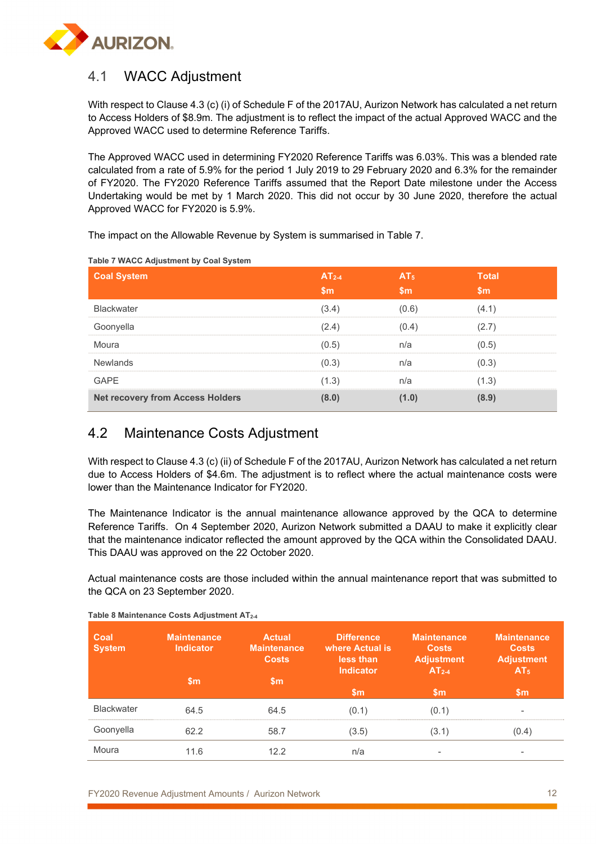

# 4.1 WACC Adjustment

With respect to Clause 4.3 (c) (i) of Schedule F of the 2017AU, Aurizon Network has calculated a net return to Access Holders of \$8.9m. The adjustment is to reflect the impact of the actual Approved WACC and the Approved WACC used to determine Reference Tariffs.

The Approved WACC used in determining FY2020 Reference Tariffs was 6.03%. This was a blended rate calculated from a rate of 5.9% for the period 1 July 2019 to 29 February 2020 and 6.3% for the remainder of FY2020. The FY2020 Reference Tariffs assumed that the Report Date milestone under the Access Undertaking would be met by 1 March 2020. This did not occur by 30 June 2020, therefore the actual Approved WACC for FY2020 is 5.9%.

The impact on the Allowable Revenue by System is summarised in Table 7.

| <b>Coal System</b>                      | $AT2-4$<br>\$m\$ | AT <sub>5</sub><br>\$m\$ | <b>Total</b><br>$\mathsf{Sm}$ |
|-----------------------------------------|------------------|--------------------------|-------------------------------|
| <b>Blackwater</b>                       | (3.4)            | (0.6)                    | (4.1)                         |
| Goonyella                               | (2.4)            | (0.4)                    | (2.7)                         |
| Moura                                   | (0.5)            | n/a                      | (0.5)                         |
| <b>Newlands</b>                         | (0.3)            | n/a                      | (0.3)                         |
| <b>GAPE</b>                             | (1.3)            | n/a                      | (1.3)                         |
| <b>Net recovery from Access Holders</b> | (8.0)            | (1.0)                    | (8.9)                         |

**Table 7 WACC Adjustment by Coal System**

# 4.2 Maintenance Costs Adjustment

With respect to Clause 4.3 (c) (ii) of Schedule F of the 2017AU, Aurizon Network has calculated a net return due to Access Holders of \$4.6m. The adjustment is to reflect where the actual maintenance costs were lower than the Maintenance Indicator for FY2020.

The Maintenance Indicator is the annual maintenance allowance approved by the QCA to determine Reference Tariffs. On 4 September 2020, Aurizon Network submitted a DAAU to make it explicitly clear that the maintenance indicator reflected the amount approved by the QCA within the Consolidated DAAU. This DAAU was approved on the 22 October 2020.

Actual maintenance costs are those included within the annual maintenance report that was submitted to the QCA on 23 September 2020.

| Coal<br><b>System</b> | <b>Maintenance</b><br><b>Indicator</b> | <b>Actual</b><br><b>Maintenance</b><br><b>Costs</b> | <b>Difference</b><br>where Actual is<br>less than<br><b>Indicator</b> | <b>Maintenance</b><br><b>Costs</b><br><b>Adjustment</b><br>$AT2-4$ | <b>Maintenance</b><br><b>Costs</b><br><b>Adjustment</b><br>AT <sub>5</sub> |
|-----------------------|----------------------------------------|-----------------------------------------------------|-----------------------------------------------------------------------|--------------------------------------------------------------------|----------------------------------------------------------------------------|
|                       | $\mathsf{sm}$                          | $\mathsf{sm}$                                       | $\mathsf{Sm}$                                                         | $\mathsf{Sm}$                                                      | $\mathsf{Sm}$                                                              |
| <b>Blackwater</b>     | 64.5                                   | 64.5                                                | (0.1)                                                                 | (0.1)                                                              | $\overline{\phantom{a}}$                                                   |
| Goonyella             | 62.2                                   | 58.7                                                | (3.5)                                                                 | (3.1)                                                              | (0.4)                                                                      |
| Moura                 | 11.6                                   | 12.2                                                | n/a                                                                   |                                                                    |                                                                            |

**Table 8 Maintenance Costs Adjustment AT2-4**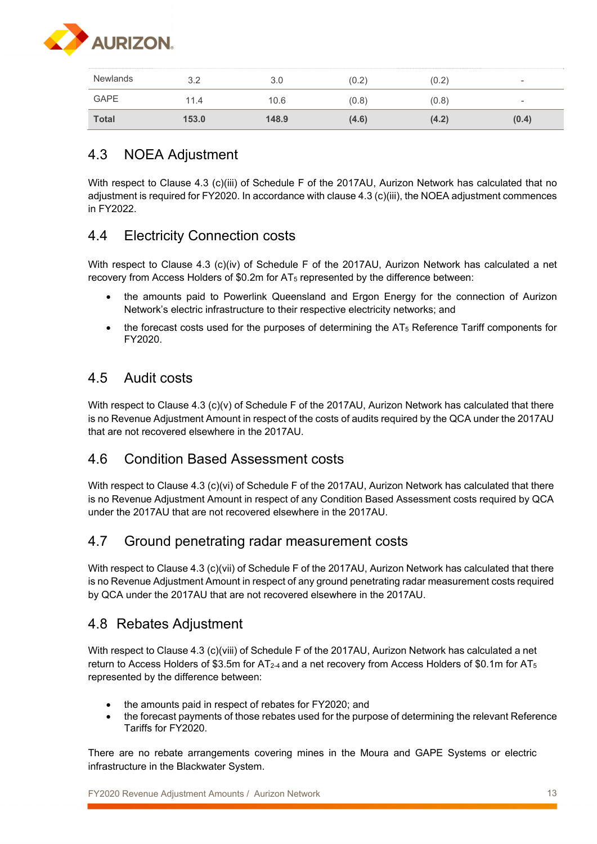

| <b>Newlands</b> | 3.2   | 3.0   | (0.2) | (0.2) | $\sim$                   |
|-----------------|-------|-------|-------|-------|--------------------------|
| GAPE            | 11.4  | 10.6  | (0.8) | (0.8) | $\overline{\phantom{a}}$ |
| <b>Total</b>    | 153.0 | 148.9 | (4.6) | (4.2) | (0.4)                    |

# 4.3 NOEA Adjustment

With respect to Clause 4.3 (c)(iii) of Schedule F of the 2017AU, Aurizon Network has calculated that no adjustment is required for FY2020. In accordance with clause 4.3 (c)(iii), the NOEA adjustment commences in FY2022.

# 4.4 Electricity Connection costs

With respect to Clause 4.3 (c)(iv) of Schedule F of the 2017AU, Aurizon Network has calculated a net recovery from Access Holders of \$0.2m for AT5 represented by the difference between:

- the amounts paid to Powerlink Queensland and Ergon Energy for the connection of Aurizon Network's electric infrastructure to their respective electricity networks; and
- $\bullet$  the forecast costs used for the purposes of determining the AT $_5$  Reference Tariff components for FY2020.

# 4.5 Audit costs

With respect to Clause 4.3 (c)(v) of Schedule F of the 2017AU, Aurizon Network has calculated that there is no Revenue Adjustment Amount in respect of the costs of audits required by the QCA under the 2017AU that are not recovered elsewhere in the 2017AU.

## 4.6 Condition Based Assessment costs

With respect to Clause 4.3 (c)(vi) of Schedule F of the 2017AU, Aurizon Network has calculated that there is no Revenue Adjustment Amount in respect of any Condition Based Assessment costs required by QCA under the 2017AU that are not recovered elsewhere in the 2017AU.

## 4.7 Ground penetrating radar measurement costs

With respect to Clause 4.3 (c)(vii) of Schedule F of the 2017AU, Aurizon Network has calculated that there is no Revenue Adjustment Amount in respect of any ground penetrating radar measurement costs required by QCA under the 2017AU that are not recovered elsewhere in the 2017AU.

## 4.8 Rebates Adjustment

With respect to Clause 4.3 (c)(viii) of Schedule F of the 2017AU, Aurizon Network has calculated a net return to Access Holders of \$3.5m for  $AT_{2-4}$  and a net recovery from Access Holders of \$0.1m for  $AT_5$ represented by the difference between:

- the amounts paid in respect of rebates for FY2020; and
- the forecast payments of those rebates used for the purpose of determining the relevant Reference Tariffs for FY2020.

There are no rebate arrangements covering mines in the Moura and GAPE Systems or electric infrastructure in the Blackwater System.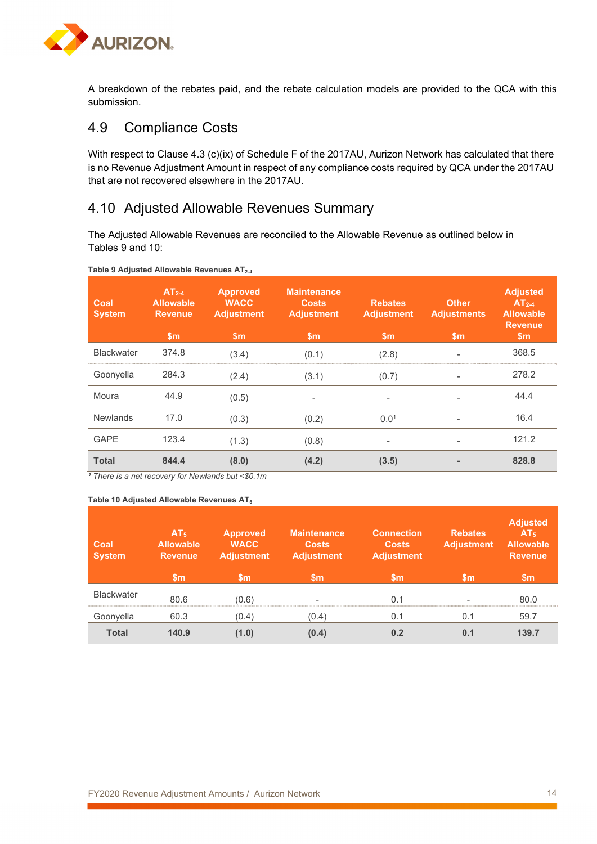

A breakdown of the rebates paid, and the rebate calculation models are provided to the QCA with this submission.

## 4.9 Compliance Costs

With respect to Clause 4.3 (c)(ix) of Schedule F of the 2017AU, Aurizon Network has calculated that there is no Revenue Adjustment Amount in respect of any compliance costs required by QCA under the 2017AU that are not recovered elsewhere in the 2017AU.

## 4.10 Adjusted Allowable Revenues Summary

The Adjusted Allowable Revenues are reconciled to the Allowable Revenue as outlined below in Tables 9 and 10:

| Coal<br><b>System</b> | $AT2-4$<br><b>Allowable</b><br><b>Revenue</b><br>$\mathsf{Sm}$ | <b>Approved</b><br><b>WACC</b><br><b>Adjustment</b><br>$\mathsf{Sm}$ | <b>Maintenance</b><br><b>Costs</b><br><b>Adjustment</b><br>$\mathsf{Sm}$ | <b>Rebates</b><br><b>Adjustment</b><br>$\mathsf{sm}$ | <b>Other</b><br><b>Adjustments</b><br>$\mathsf{Sm}$ | <b>Adjusted</b><br>$AT2-4$<br><b>Allowable</b><br><b>Revenue</b><br>$\mathsf{Sm}$ |
|-----------------------|----------------------------------------------------------------|----------------------------------------------------------------------|--------------------------------------------------------------------------|------------------------------------------------------|-----------------------------------------------------|-----------------------------------------------------------------------------------|
| <b>Blackwater</b>     | 374.8                                                          | (3.4)                                                                | (0.1)                                                                    | (2.8)                                                | $\qquad \qquad -$                                   | 368.5                                                                             |
| Goonyella             | 284.3                                                          | (2.4)                                                                | (3.1)                                                                    | (0.7)                                                | $\overline{\phantom{a}}$                            | 278.2                                                                             |
| Moura                 | 44.9                                                           | (0.5)                                                                | -                                                                        |                                                      | $\overline{\phantom{0}}$                            | 44.4                                                                              |
| <b>Newlands</b>       | 17.0                                                           | (0.3)                                                                | (0.2)                                                                    | 0.01                                                 | $\overline{\phantom{0}}$                            | 16.4                                                                              |
| <b>GAPE</b>           | 123.4                                                          | (1.3)                                                                | (0.8)                                                                    |                                                      | $\overline{\phantom{0}}$                            | 121.2                                                                             |
| <b>Total</b>          | 844.4                                                          | (8.0)                                                                | (4.2)                                                                    | (3.5)                                                |                                                     | 828.8                                                                             |

#### **Table 9 Adjusted Allowable Revenues AT2-4**

**<sup>1</sup>** *There is a net recovery for Newlands but <\$0.1m*

#### **Table 10 Adjusted Allowable Revenues AT5**

| Coal<br><b>System</b> | AT <sub>5</sub><br><b>Allowable</b><br><b>Revenue</b><br>$\mathsf{Sm}$ | <b>Approved</b><br><b>WACC</b><br><b>Adjustment</b><br>$\mathsf{sm}$ | <b>Maintenance</b><br><b>Costs</b><br><b>Adjustment</b><br>'\$m | <b>Connection</b><br><b>Costs</b><br><b>Adjustment</b><br>$\mathsf{Sm}$ | <b>Rebates</b><br><b>Adjustment</b><br>$\mathsf{sm}$ | <b>Adjusted</b><br>AT <sub>5</sub><br><b>Allowable</b><br><b>Revenue</b><br>$\mathsf{Sm}$ |
|-----------------------|------------------------------------------------------------------------|----------------------------------------------------------------------|-----------------------------------------------------------------|-------------------------------------------------------------------------|------------------------------------------------------|-------------------------------------------------------------------------------------------|
| <b>Blackwater</b>     | 80.6                                                                   | (0.6)                                                                | $\overline{\phantom{a}}$                                        | 0.1                                                                     | $\overline{\phantom{a}}$                             | 80.0                                                                                      |
| Goonyella             | 60.3                                                                   | (0.4)                                                                | (0.4)                                                           | 0.1                                                                     | 0.1                                                  | 59.7                                                                                      |
| <b>Total</b>          | 140.9                                                                  | (1.0)                                                                | (0.4)                                                           | 0.2                                                                     | 0.1                                                  | 139.7                                                                                     |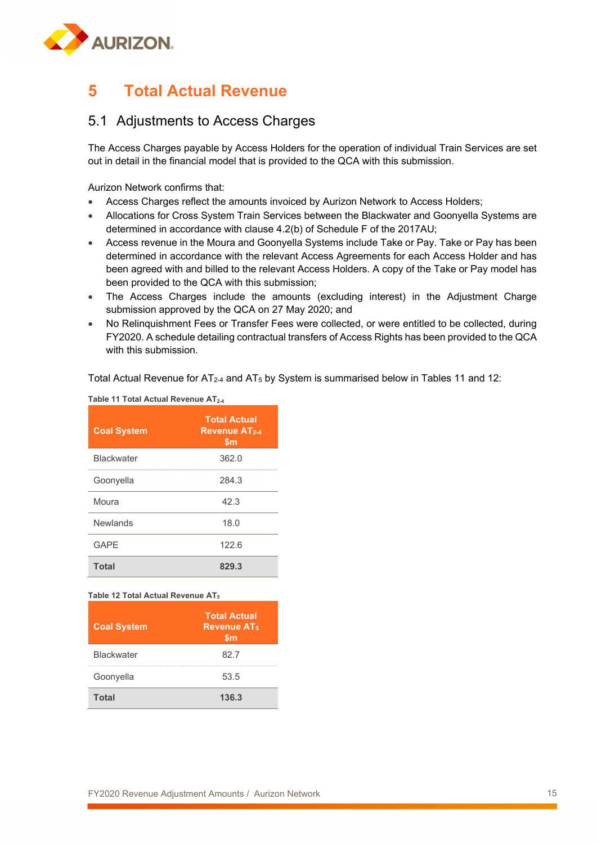

# **5 Total Actual Revenue**

### 5.1 Adjustments to Access Charges

The Access Charges payable by Access Holders for the operation of individual Train Services are set out in detail in the financial model that is provided to the QCA with this submission.

Aurizon Network confirms that:

- Access Charges reflect the amounts invoiced by Aurizon Network to Access Holders;
- Allocations for Cross System Train Services between the Blackwater and Goonyella Systems are determined in accordance with clause 4.2(b) of Schedule F of the 2017AU;
- Access revenue in the Moura and Goonyella Systems include Take or Pay. Take or Pay has been determined in accordance with the relevant Access Agreements for each Access Holder and has been agreed with and billed to the relevant Access Holders. A copy of the Take or Pay model has been provided to the QCA with this submission;
- The Access Charges include the amounts (excluding interest) in the Adjustment Charge submission approved by the QCA on 27 May 2020; and
- No Relinquishment Fees or Transfer Fees were collected, or were entitled to be collected, during FY2020. A schedule detailing contractual transfers of Access Rights has been provided to the QCA with this submission.

Total Actual Revenue for AT<sub>2-4</sub> and AT<sub>5</sub> by System is summarised below in Tables 11 and 12:

| <b>Coal System</b> | <b>Total Actual</b><br><b>Revenue AT2-4</b><br>\$m |
|--------------------|----------------------------------------------------|
| <b>Blackwater</b>  | 362.0                                              |
| Goonyella          | 284.3                                              |
| Moura              | 42.3                                               |
| Newlands           | 18.0                                               |
| <b>GAPE</b>        | 122.6                                              |
| <b>Total</b>       | 829.3                                              |

### **Table 11 Total Actual Revenue AT2-4**

### **Table 12 Total Actual Revenue AT5**

| <b>Coal System</b> | <b>Total Actual</b><br><b>Revenue AT<sub>5</sub></b><br>\$m |
|--------------------|-------------------------------------------------------------|
| <b>Blackwater</b>  | 82.7                                                        |
| Goonyella          | 53.5                                                        |
| <b>Total</b>       | 136.3                                                       |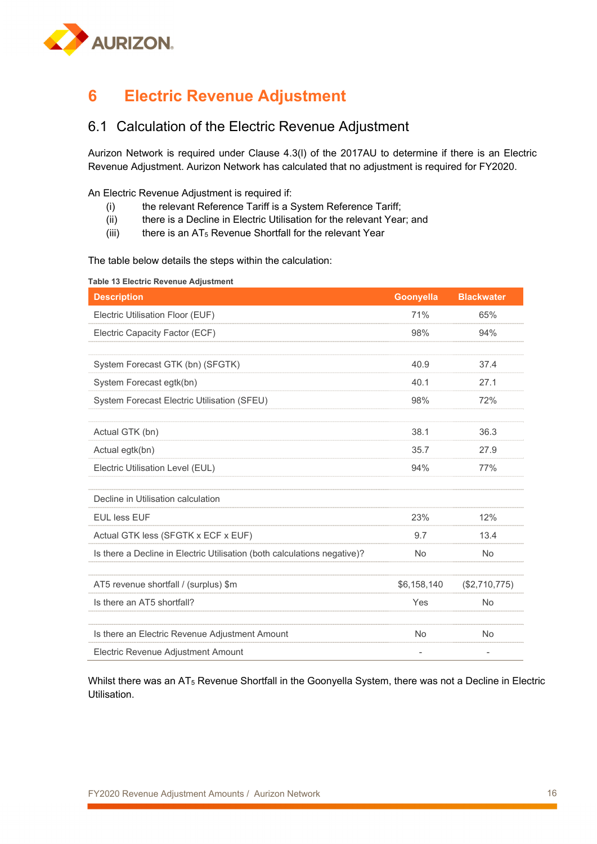

# **6 Electric Revenue Adjustment**

## 6.1 Calculation of the Electric Revenue Adjustment

Aurizon Network is required under Clause 4.3(l) of the 2017AU to determine if there is an Electric Revenue Adjustment. Aurizon Network has calculated that no adjustment is required for FY2020.

An Electric Revenue Adjustment is required if:

- (i) the relevant Reference Tariff is a System Reference Tariff;
- (ii) there is a Decline in Electric Utilisation for the relevant Year; and
- (iii) there is an  $AT_5$  Revenue Shortfall for the relevant Year

The table below details the steps within the calculation:

| Table 13 Electric Revenue Adjustment                                     |                          |                          |  |  |  |  |
|--------------------------------------------------------------------------|--------------------------|--------------------------|--|--|--|--|
| <b>Description</b>                                                       | Goonyella                | <b>Blackwater</b>        |  |  |  |  |
| Electric Utilisation Floor (EUF)                                         | 71%                      | 65%                      |  |  |  |  |
| Electric Capacity Factor (ECF)                                           | 98%                      | 94%                      |  |  |  |  |
|                                                                          |                          |                          |  |  |  |  |
| System Forecast GTK (bn) (SFGTK)                                         | 40.9                     | 37.4                     |  |  |  |  |
| System Forecast egtk(bn)                                                 | 40.1                     | 27.1                     |  |  |  |  |
| System Forecast Electric Utilisation (SFEU)                              | 98%                      | 72%                      |  |  |  |  |
|                                                                          |                          |                          |  |  |  |  |
| Actual GTK (bn)                                                          | 38.1                     | 36.3                     |  |  |  |  |
| Actual egtk(bn)                                                          | 35.7                     | 27.9                     |  |  |  |  |
| Electric Utilisation Level (EUL)                                         | 94%                      | 77%                      |  |  |  |  |
|                                                                          |                          |                          |  |  |  |  |
| Decline in Utilisation calculation                                       |                          |                          |  |  |  |  |
| <b>EUL less EUF</b>                                                      | 23%                      | 12%                      |  |  |  |  |
| Actual GTK less (SFGTK x ECF x EUF)                                      | 9.7                      | 13.4                     |  |  |  |  |
| Is there a Decline in Electric Utilisation (both calculations negative)? | <b>No</b>                | No                       |  |  |  |  |
|                                                                          |                          |                          |  |  |  |  |
| AT5 revenue shortfall / (surplus) \$m                                    | \$6,158,140              | (\$2,710,775)            |  |  |  |  |
| Is there an AT5 shortfall?                                               | Yes                      | <b>No</b>                |  |  |  |  |
|                                                                          |                          |                          |  |  |  |  |
| Is there an Electric Revenue Adjustment Amount                           | <b>No</b>                | <b>No</b>                |  |  |  |  |
| Electric Revenue Adjustment Amount                                       | $\overline{\phantom{0}}$ | $\overline{\phantom{0}}$ |  |  |  |  |

Whilst there was an AT5 Revenue Shortfall in the Goonyella System, there was not a Decline in Electric Utilisation.